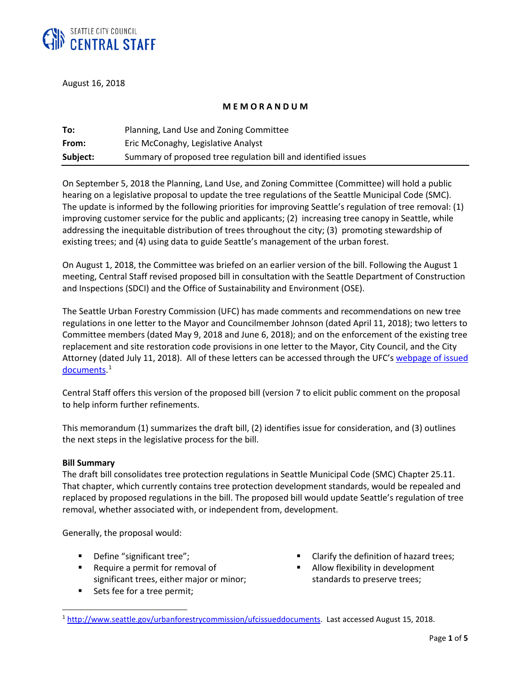

August 16, 2018

### **M E M O R A N D U M**

| To:      | Planning, Land Use and Zoning Committee                        |
|----------|----------------------------------------------------------------|
| From:    | Eric McConaghy, Legislative Analyst                            |
| Subject: | Summary of proposed tree regulation bill and identified issues |

On September 5, 2018 the Planning, Land Use, and Zoning Committee (Committee) will hold a public hearing on a legislative proposal to update the tree regulations of the Seattle Municipal Code (SMC). The update is informed by the following priorities for improving Seattle's regulation of tree removal: (1) improving customer service for the public and applicants; (2) increasing tree canopy in Seattle, while addressing the inequitable distribution of trees throughout the city; (3) promoting stewardship of existing trees; and (4) using data to guide Seattle's management of the urban forest.

On August 1, 2018, the Committee was briefed on an earlier version of the bill. Following the August 1 meeting, Central Staff revised proposed bill in consultation with the Seattle Department of Construction and Inspections (SDCI) and the Office of Sustainability and Environment (OSE).

The Seattle Urban Forestry Commission (UFC) has made comments and recommendations on new tree regulations in one letter to the Mayor and Councilmember Johnson (dated April 11, 2018); two letters to Committee members (dated May 9, 2018 and June 6, 2018); and on the enforcement of the existing tree replacement and site restoration code provisions in one letter to the Mayor, City Council, and the City Attorney (dated July 11, 2018). All of these letters can be accessed through the UFC'[s webpage of issued](http://www.seattle.gov/urbanforestrycommission/ufcissueddocuments)  [documents.](http://www.seattle.gov/urbanforestrycommission/ufcissueddocuments)<sup>[1](#page-0-0)</sup>

Central Staff offers this version of the proposed bill (version 7 to elicit public comment on the proposal to help inform further refinements.

This memorandum (1) summarizes the draft bill, (2) identifies issue for consideration, and (3) outlines the next steps in the legislative process for the bill.

#### **Bill Summary**

 $\overline{a}$ 

The draft bill consolidates tree protection regulations in Seattle Municipal Code (SMC) Chapter 25.11. That chapter, which currently contains tree protection development standards, would be repealed and replaced by proposed regulations in the bill. The proposed bill would update Seattle's regulation of tree removal, whether associated with, or independent from, development.

Generally, the proposal would:

- Define "significant tree";
- **Require a permit for removal of** significant trees, either major or minor;
- Sets fee for a tree permit;
- Clarify the definition of hazard trees;
- Allow flexibility in development standards to preserve trees;

<span id="page-0-0"></span><sup>1</sup> [http://www.seattle.gov/urbanforestrycommission/ufcissueddocuments.](http://www.seattle.gov/urbanforestrycommission/ufcissueddocuments) Last accessed August 15, 2018.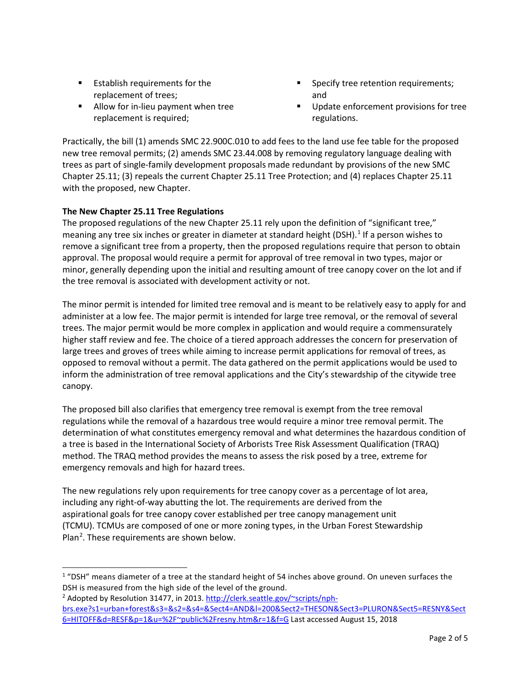- **Establish requirements for the** replacement of trees;
- **Allow for in-lieu payment when tree** replacement is required;
- **Specify tree retention requirements;** and
- Update enforcement provisions for tree regulations.

Practically, the bill (1) amends SMC 22.900C.010 to add fees to the land use fee table for the proposed new tree removal permits; (2) amends SMC 23.44.008 by removing regulatory language dealing with trees as part of single-family development proposals made redundant by provisions of the new SMC Chapter 25.11; (3) repeals the current Chapter 25.11 Tree Protection; and (4) replaces Chapter 25.11 with the proposed, new Chapter.

# **The New Chapter 25.11 Tree Regulations**

 $\overline{a}$ 

The proposed regulations of the new Chapter 25.11 rely upon the definition of "significant tree," meaning any tree six inches or greater in diameter at standard height (DSH).<sup>[1](#page-1-0)</sup> If a person wishes to remove a significant tree from a property, then the proposed regulations require that person to obtain approval. The proposal would require a permit for approval of tree removal in two types, major or minor, generally depending upon the initial and resulting amount of tree canopy cover on the lot and if the tree removal is associated with development activity or not.

The minor permit is intended for limited tree removal and is meant to be relatively easy to apply for and administer at a low fee. The major permit is intended for large tree removal, or the removal of several trees. The major permit would be more complex in application and would require a commensurately higher staff review and fee. The choice of a tiered approach addresses the concern for preservation of large trees and groves of trees while aiming to increase permit applications for removal of trees, as opposed to removal without a permit. The data gathered on the permit applications would be used to inform the administration of tree removal applications and the City's stewardship of the citywide tree canopy.

The proposed bill also clarifies that emergency tree removal is exempt from the tree removal regulations while the removal of a hazardous tree would require a minor tree removal permit. The determination of what constitutes emergency removal and what determines the hazardous condition of a tree is based in the International Society of Arborists Tree Risk Assessment Qualification (TRAQ) method. The TRAQ method provides the means to assess the risk posed by a tree, extreme for emergency removals and high for hazard trees.

The new regulations rely upon requirements for tree canopy cover as a percentage of lot area, including any right-of-way abutting the lot. The requirements are derived from the aspirational goals for tree canopy cover established per tree canopy management unit (TCMU). TCMUs are composed of one or more zoning types, in the Urban Forest Stewardship Plan<sup>[2](#page-1-1)</sup>. These requirements are shown below.

<span id="page-1-0"></span> $1$  "DSH" means diameter of a tree at the standard height of 54 inches above ground. On uneven surfaces the DSH is measured from the high side of the level of the ground.

<span id="page-1-1"></span><sup>&</sup>lt;sup>2</sup> Adopted by Resolution 31477, in 2013[. http://clerk.seattle.gov/~scripts/nph](http://clerk.seattle.gov/%7Escripts/nph-brs.exe?s1=urban+forest&s3=&s2=&s4=&Sect4=AND&l=200&Sect2=THESON&Sect3=PLURON&Sect5=RESNY&Sect6=HITOFF&d=RESF&p=1&u=%2F%7Epublic%2Fresny.htm&r=1&f=G)[brs.exe?s1=urban+forest&s3=&s2=&s4=&Sect4=AND&l=200&Sect2=THESON&Sect3=PLURON&Sect5=RESNY&Sect](http://clerk.seattle.gov/%7Escripts/nph-brs.exe?s1=urban+forest&s3=&s2=&s4=&Sect4=AND&l=200&Sect2=THESON&Sect3=PLURON&Sect5=RESNY&Sect6=HITOFF&d=RESF&p=1&u=%2F%7Epublic%2Fresny.htm&r=1&f=G) [6=HITOFF&d=RESF&p=1&u=%2F~public%2Fresny.htm&r=1&f=G](http://clerk.seattle.gov/%7Escripts/nph-brs.exe?s1=urban+forest&s3=&s2=&s4=&Sect4=AND&l=200&Sect2=THESON&Sect3=PLURON&Sect5=RESNY&Sect6=HITOFF&d=RESF&p=1&u=%2F%7Epublic%2Fresny.htm&r=1&f=G) Last accessed August 15, 2018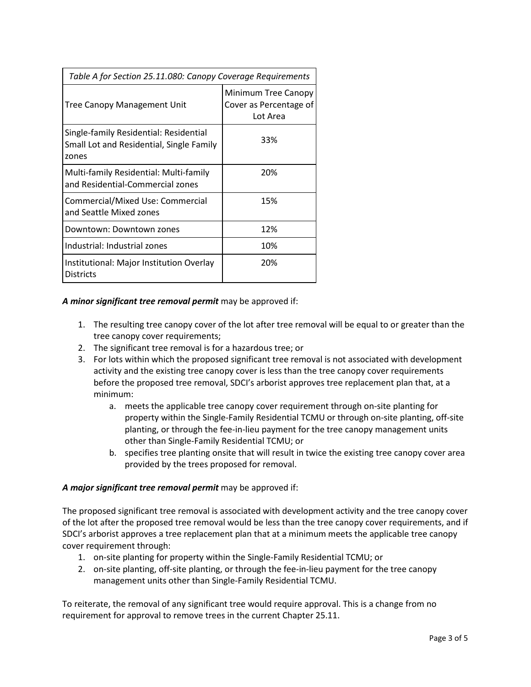| Table A for Section 25.11.080: Canopy Coverage Requirements                                 |                                                           |  |
|---------------------------------------------------------------------------------------------|-----------------------------------------------------------|--|
| Tree Canopy Management Unit                                                                 | Minimum Tree Canopy<br>Cover as Percentage of<br>Lot Area |  |
| Single-family Residential: Residential<br>Small Lot and Residential, Single Family<br>zones | 33%                                                       |  |
| Multi-family Residential: Multi-family<br>and Residential-Commercial zones                  | 20%                                                       |  |
| Commercial/Mixed Use: Commercial<br>and Seattle Mixed zones                                 | 15%                                                       |  |
| Downtown: Downtown zones                                                                    | 12%                                                       |  |
| Industrial: Industrial zones                                                                | 10%                                                       |  |
| Institutional: Major Institution Overlay<br><b>Districts</b>                                | 20%                                                       |  |

## *A minor significant tree removal permit* may be approved if:

- 1. The resulting tree canopy cover of the lot after tree removal will be equal to or greater than the tree canopy cover requirements;
- 2. The significant tree removal is for a hazardous tree; or
- 3. For lots within which the proposed significant tree removal is not associated with development activity and the existing tree canopy cover is less than the tree canopy cover requirements before the proposed tree removal, SDCI's arborist approves tree replacement plan that, at a minimum:
	- a. meets the applicable tree canopy cover requirement through on-site planting for property within the Single-Family Residential TCMU or through on-site planting, off-site planting, or through the fee-in-lieu payment for the tree canopy management units other than Single-Family Residential TCMU; or
	- b. specifies tree planting onsite that will result in twice the existing tree canopy cover area provided by the trees proposed for removal.

## *A major significant tree removal permit* may be approved if:

The proposed significant tree removal is associated with development activity and the tree canopy cover of the lot after the proposed tree removal would be less than the tree canopy cover requirements, and if SDCI's arborist approves a tree replacement plan that at a minimum meets the applicable tree canopy cover requirement through:

- 1. on-site planting for property within the Single-Family Residential TCMU; or
- 2. on-site planting, off-site planting, or through the fee-in-lieu payment for the tree canopy management units other than Single-Family Residential TCMU.

To reiterate, the removal of any significant tree would require approval. This is a change from no requirement for approval to remove trees in the current Chapter 25.11.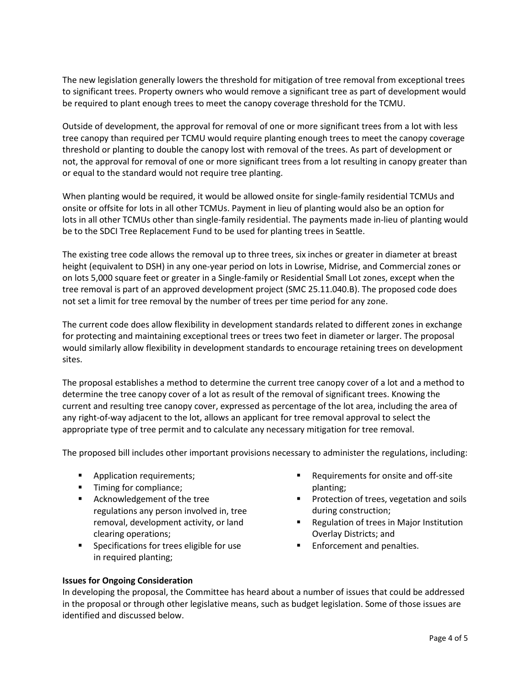The new legislation generally lowers the threshold for mitigation of tree removal from exceptional trees to significant trees. Property owners who would remove a significant tree as part of development would be required to plant enough trees to meet the canopy coverage threshold for the TCMU.

Outside of development, the approval for removal of one or more significant trees from a lot with less tree canopy than required per TCMU would require planting enough trees to meet the canopy coverage threshold or planting to double the canopy lost with removal of the trees. As part of development or not, the approval for removal of one or more significant trees from a lot resulting in canopy greater than or equal to the standard would not require tree planting.

When planting would be required, it would be allowed onsite for single-family residential TCMUs and onsite or offsite for lots in all other TCMUs. Payment in lieu of planting would also be an option for lots in all other TCMUs other than single-family residential. The payments made in-lieu of planting would be to the SDCI Tree Replacement Fund to be used for planting trees in Seattle.

The existing tree code allows the removal up to three trees, six inches or greater in diameter at breast height (equivalent to DSH) in any one-year period on lots in Lowrise, Midrise, and Commercial zones or on lots 5,000 square feet or greater in a Single-family or Residential Small Lot zones, except when the tree removal is part of an approved development project (SMC 25.11.040.B). The proposed code does not set a limit for tree removal by the number of trees per time period for any zone.

The current code does allow flexibility in development standards related to different zones in exchange for protecting and maintaining exceptional trees or trees two feet in diameter or larger. The proposal would similarly allow flexibility in development standards to encourage retaining trees on development sites.

The proposal establishes a method to determine the current tree canopy cover of a lot and a method to determine the tree canopy cover of a lot as result of the removal of significant trees. Knowing the current and resulting tree canopy cover, expressed as percentage of the lot area, including the area of any right-of-way adjacent to the lot, allows an applicant for tree removal approval to select the appropriate type of tree permit and to calculate any necessary mitigation for tree removal.

The proposed bill includes other important provisions necessary to administer the regulations, including:

- **Application requirements;**
- Timing for compliance;
- **EXEC** Acknowledgement of the tree regulations any person involved in, tree removal, development activity, or land clearing operations;
- **Specifications for trees eligible for use** in required planting;
- Requirements for onsite and off-site planting;
- **Protection of trees, vegetation and soils** during construction;
- **Regulation of trees in Major Institution** Overlay Districts; and
- **Enforcement and penalties.**

## **Issues for Ongoing Consideration**

In developing the proposal, the Committee has heard about a number of issues that could be addressed in the proposal or through other legislative means, such as budget legislation. Some of those issues are identified and discussed below.